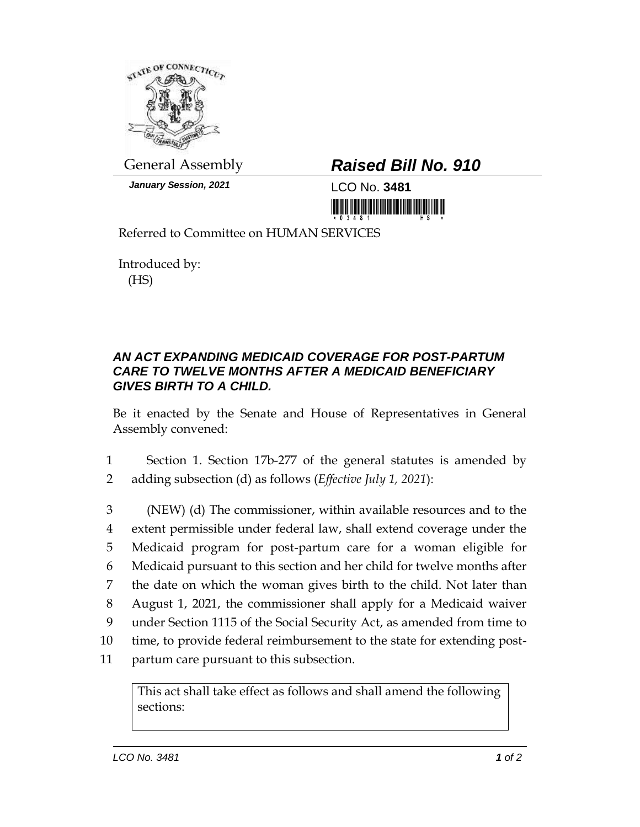

*January Session, 2021* LCO No. **3481**

## General Assembly *Raised Bill No. 910*

<u> 1999 - An Dùbhlachd Marwrig Marwr a 1999 - An Dùbhlachd Marwr a 1999 - An Dùbhlachd Marwr a 1999 - An Dùbhlach</u>

Referred to Committee on HUMAN SERVICES

Introduced by: (HS)

## *AN ACT EXPANDING MEDICAID COVERAGE FOR POST-PARTUM CARE TO TWELVE MONTHS AFTER A MEDICAID BENEFICIARY GIVES BIRTH TO A CHILD.*

Be it enacted by the Senate and House of Representatives in General Assembly convened:

- 1 Section 1. Section 17b-277 of the general statutes is amended by 2 adding subsection (d) as follows (*Effective July 1, 2021*):
- 3 (NEW) (d) The commissioner, within available resources and to the 4 extent permissible under federal law, shall extend coverage under the 5 Medicaid program for post-partum care for a woman eligible for 6 Medicaid pursuant to this section and her child for twelve months after 7 the date on which the woman gives birth to the child. Not later than 8 August 1, 2021, the commissioner shall apply for a Medicaid waiver 9 under Section 1115 of the Social Security Act, as amended from time to 10 time, to provide federal reimbursement to the state for extending post-11 partum care pursuant to this subsection.

This act shall take effect as follows and shall amend the following sections: